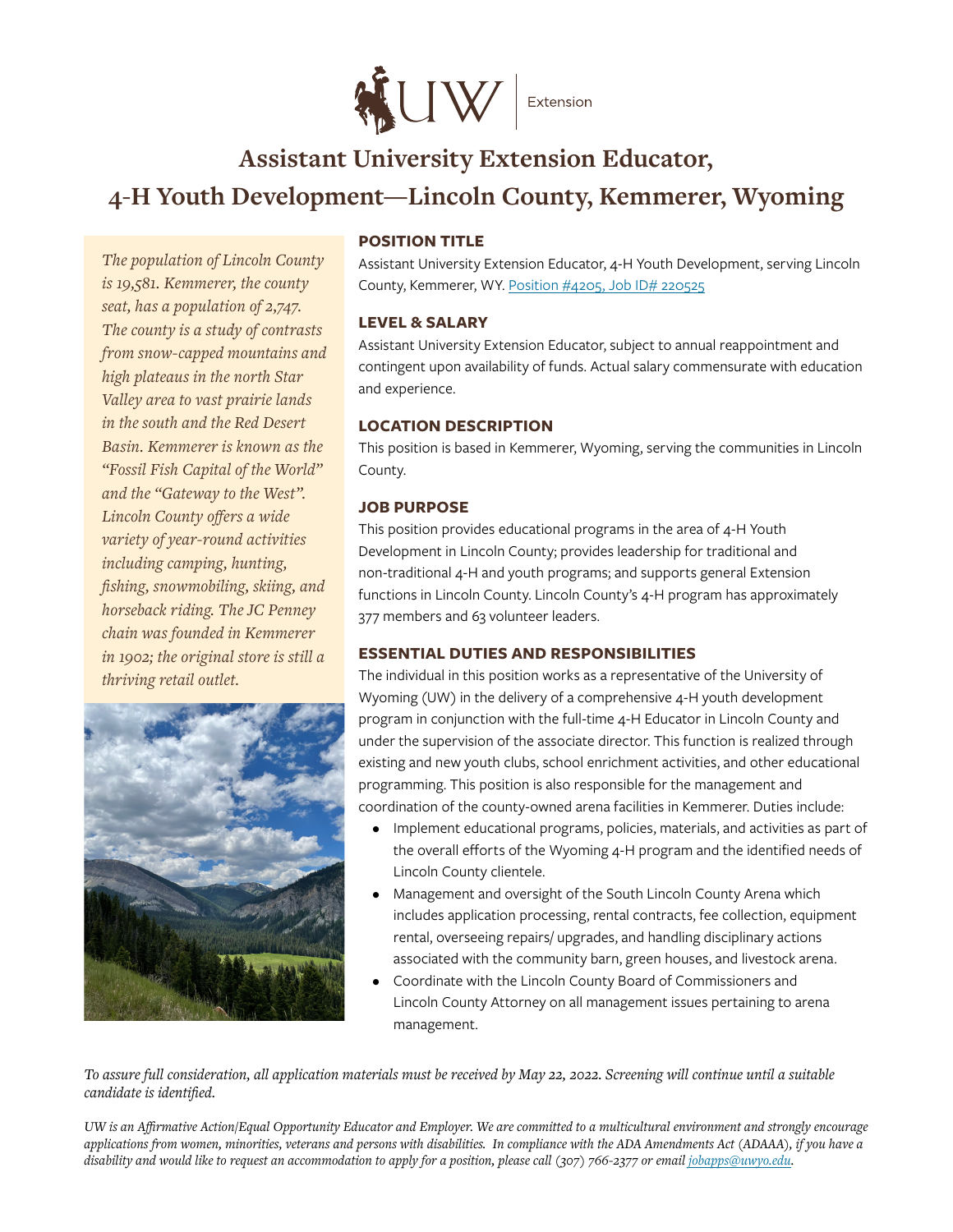

# **Assistant University Extension Educator, 4-H Youth Development—Lincoln County, Kemmerer, Wyoming**

*The population of Lincoln County is 19,581. Kemmerer, the county seat, has a population of 2,747. The county is a study of contrasts from snow-capped mountains and high plateaus in the north Star Valley area to vast prairie lands in the south and the Red Desert Basin. Kemmerer is known as the "Fossil Fish Capital of the World" and the "Gateway to the West". Lincoln County offers a wide variety of year-round activities including camping, hunting, fishing, snowmobiling, skiing, and horseback riding. The JC Penney chain was founded in Kemmerer in 1902; the original store is still a thriving retail outlet.* 



## **POSITION TITLE**

Assistant University Extension Educator, 4‑H Youth Development, serving Lincoln County, Kemmerer, WY. [Position #4205, Job ID# 220525](https://eeik.fa.us2.oraclecloud.com/hcmUI/CandidateExperience/en/sites/CX_1/job/220525)

#### **LEVEL & SALARY**

Assistant University Extension Educator, subject to annual reappointment and contingent upon availability of funds. Actual salary commensurate with education and experience.

#### **LOCATION DESCRIPTION**

This position is based in Kemmerer, Wyoming, serving the communities in Lincoln County.

## **JOB PURPOSE**

This position provides educational programs in the area of 4-H Youth Development in Lincoln County; provides leadership for traditional and non-traditional 4-H and youth programs; and supports general Extension functions in Lincoln County. Lincoln County's 4‑H program has approximately 377 members and 63 volunteer leaders.

## **ESSENTIAL DUTIES AND RESPONSIBILITIES**

The individual in this position works as a representative of the University of Wyoming (UW) in the delivery of a comprehensive 4-H youth development program in conjunction with the full-time 4-H Educator in Lincoln County and under the supervision of the associate director. This function is realized through existing and new youth clubs, school enrichment activities, and other educational programming. This position is also responsible for the management and coordination of the county-owned arena facilities in Kemmerer. Duties include:

- Implement educational programs, policies, materials, and activities as part of the overall efforts of the Wyoming 4‑H program and the identified needs of Lincoln County clientele.
- Management and oversight of the South Lincoln County Arena which includes application processing, rental contracts, fee collection, equipment rental, overseeing repairs/ upgrades, and handling disciplinary actions associated with the community barn, green houses, and livestock arena.
- Coordinate with the Lincoln County Board of Commissioners and Lincoln County Attorney on all management issues pertaining to arena management.

*To assure full consideration, all application materials must be received by May 22, 2022. Screening will continue until a suitable candidate is identified.*

*UW is an Affirmative Action/Equal Opportunity Educator and Employer. We are committed to a multicultural environment and strongly encourage applications from women, minorities, veterans and persons with disabilities. In compliance with the ADA Amendments Act (ADAAA), if you have a disability and would like to request an accommodation to apply for a position, please call (307) 766-2377 or email jobapps@uwyo.edu.*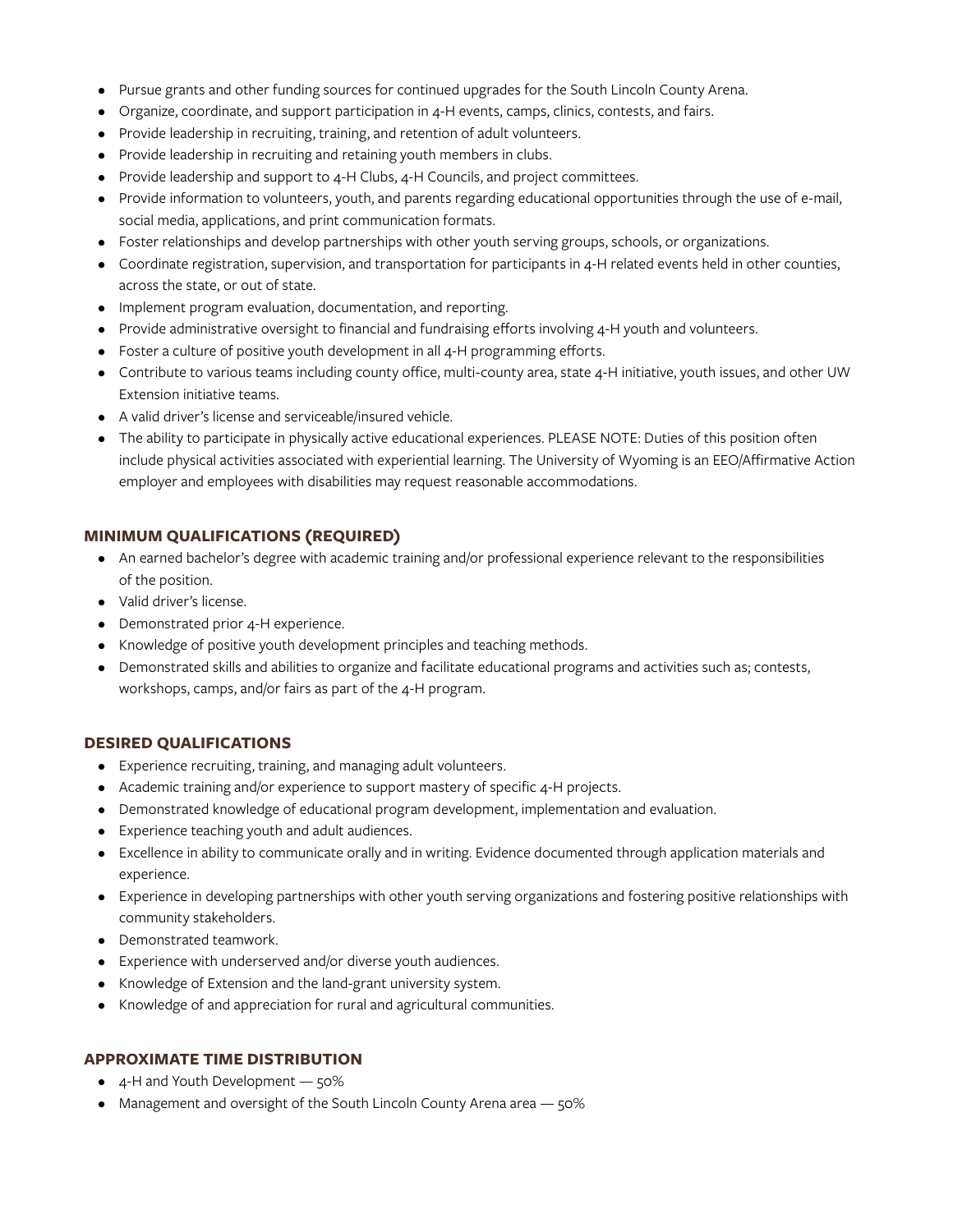- Pursue grants and other funding sources for continued upgrades for the South Lincoln County Arena.
- Organize, coordinate, and support participation in 4-H events, camps, clinics, contests, and fairs.
- Provide leadership in recruiting, training, and retention of adult volunteers.
- Provide leadership in recruiting and retaining youth members in clubs.
- Provide leadership and support to 4-H Clubs, 4-H Councils, and project committees.
- Provide information to volunteers, youth, and parents regarding educational opportunities through the use of e-mail, social media, applications, and print communication formats.
- Foster relationships and develop partnerships with other youth serving groups, schools, or organizations.
- Coordinate registration, supervision, and transportation for participants in 4-H related events held in other counties, across the state, or out of state.
- Implement program evaluation, documentation, and reporting.
- Provide administrative oversight to financial and fundraising efforts involving 4-H youth and volunteers.
- Foster a culture of positive youth development in all 4-H programming efforts.
- Contribute to various teams including county office, multi-county area, state 4-H initiative, youth issues, and other UW Extension initiative teams.
- A valid driver's license and serviceable/insured vehicle.
- The ability to participate in physically active educational experiences. PLEASE NOTE: Duties of this position often include physical activities associated with experiential learning. The University of Wyoming is an EEO/Affirmative Action employer and employees with disabilities may request reasonable accommodations.

## **MINIMUM QUALIFICATIONS (REQUIRED)**

- An earned bachelor's degree with academic training and/or professional experience relevant to the responsibilities of the position.
- Valid driver's license.
- Demonstrated prior 4-H experience.
- Knowledge of positive youth development principles and teaching methods.
- Demonstrated skills and abilities to organize and facilitate educational programs and activities such as; contests, workshops, camps, and/or fairs as part of the 4‑H program.

#### **DESIRED QUALIFICATIONS**

- Experience recruiting, training, and managing adult volunteers.
- Academic training and/or experience to support mastery of specific 4-H projects.
- Demonstrated knowledge of educational program development, implementation and evaluation.
- Experience teaching youth and adult audiences.
- Excellence in ability to communicate orally and in writing. Evidence documented through application materials and experience.
- Experience in developing partnerships with other youth serving organizations and fostering positive relationships with community stakeholders.
- Demonstrated teamwork.
- Experience with underserved and/or diverse youth audiences.
- Knowledge of Extension and the land‑grant university system.
- Knowledge of and appreciation for rural and agricultural communities.

## **APPROXIMATE TIME DISTRIBUTION**

- $\bullet$  4-H and Youth Development  $-50\%$
- Management and oversight of the South Lincoln County Arena area 50%